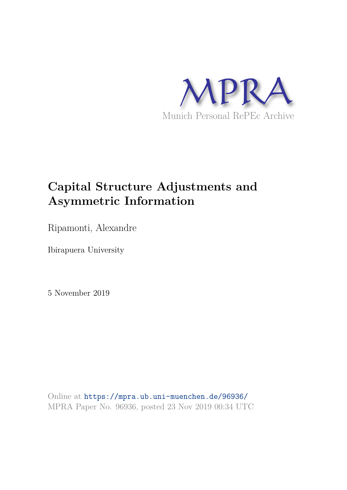

# **Capital Structure Adjustments and Asymmetric Information**

Ripamonti, Alexandre

Ibirapuera University

5 November 2019

Online at https://mpra.ub.uni-muenchen.de/96936/ MPRA Paper No. 96936, posted 23 Nov 2019 00:34 UTC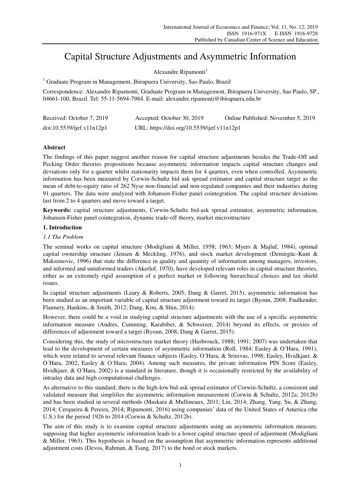# Capital Structure Adjustments and Asymmetric Information

Alexandre Ripamonti<sup>1</sup>

<sup>1</sup> Graduate Program in Management, Ibirapuera University, Sao Paulo, Brazil

Correspondence: Alexandre Ripamonti, Graduate Program in Management, Ibirapuera University, Sao Paulo, SP., 04661-100, Brazil. Tel: 55-11-5694-7984. E-mail: alexandre.ripamonti@ibirapuera.edu.br

| Received: October 7, 2019 | Accepted: October 30, 2019                 | Online Published: November 5, 2019 |
|---------------------------|--------------------------------------------|------------------------------------|
| doi:10.5539/ijef.v11n12p1 | URL: https://doi.org/10.5539/ijef.v11n12p1 |                                    |

# **Abstract**

The findings of this paper suggest another reason for capital structure adjustments besides the Trade-Off and Pecking Order theories propositions because asymmetric information impacts capital structure changes and deviations only for a quarter whilst stationarity impacts them for 4 quarters, even when controlled. Asymmetric information has been measured by Corwin-Schultz bid ask spread estimator and capital structure target as the mean of debt-to-equity ratio of 262 Nyse non-financial and non-regulated companies and their industries during 91 quarters. The data were analyzed with Johansen-Fisher panel cointegration. The capital structure deviations last from 2 to 4 quarters and move toward a target.

**Keywords:** capital structure adjustments, Corwin-Schultz bid-ask spread estimator, asymmetric information, Johansen-Fisher panel cointegration, dynamic trade-off theory, market microstructure

# **1. Introduction**

## *1.1 The Problem*

The seminal works on capital structure (Modigliani & Miller, 1958; 1963; Myers & Majluf, 1984), optimal capital ownership structure (Jensen & Meckling, 1976), and stock market development (Demirgüc-Kunt & Maksimovic, 1996) that state the difference in quality and quantity of information among managers, investors, and informed and uninformed traders (Akerlof, 1970), have developed relevant roles in capital structure theories, either as an extremely rigid assumption of a perfect market or following hierarchical choices and tax shield issues.

In capital structure adjustments (Leary & Roberts, 2005; Dang & Garret, 2015), asymmetric information has been studied as an important variable of capital structure adjustment toward its target (Byoun, 2008; Faulkender, Flannery, Hankins, & Smith, 2012; Dang, Kim, & Shin, 2014).

However, there could be a void in studying capital structure adjustments with the use of a specific asymmetric information measure (Andres, Cumming, Karabiber, & Schweizer, 2014) beyond its effects, or proxies of differences of adjustment toward a target (Byoun, 2008; Dang & Garret, 2015).

Considering this, the study of microstructure market theory (Hasbrouck, 1988; 1991; 2007) was undertaken that lead to the development of certain measures of asymmetric information (Roll, 1984; Easley & O´Hara, 1991), which were related to several relevant finance subjects (Easley, O´Hara, & Srinivas, 1998; Easley, Hvidkjaer, & O´Hara, 2002; Easley & O´Hara, 2004). Among such measures, the private information PIN Score (Easley, Hvidkjaer, & O´Hara, 2002) is a standard in literature, though it is occasionally restricted by the availability of intraday data and high computational challenges.

As alternative to this standard, there is the high-low bid-ask spread estimator of Corwin-Schultz, a consistent and validated measure that simplifies the asymmetric information measurement (Corwin & Schultz, 2012a; 2012b) and has been studied in several methods (Maskara & Mullineaux, 2011; Lin, 2014; Zhang, Yang, Su, & Zhang, 2014; Cerqueira & Pereira, 2014; Ripamonti, 2016) using companies' data of the United States of America (the U.S.) for the period 1926 to 2014 (Corwin & Schultz, 2012b).

The aim of this study is to examine capital structure adjustments using an asymmetric information measure, supposing that higher asymmetric information leads to a lower capital structure speed of adjustment (Modigliani & Miller, 1963). This hypothesis is based on the assumption that asymmetric information represents additional adjustment costs (Devos, Rahman, & Tsang, 2017) to the bond or stock markets.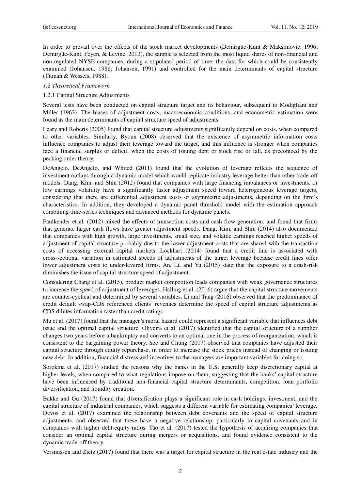In order to prevail over the effects of the stock market developments (Demirgüc-Kunt & Maksimovic, 1996; Demirgüc-Kunt, Feyen, & Levine, 2013), the sample is selected from the most liquid shares of non-financial and non-regulated NYSE companies, during a stipulated period of time, the data for which could be consistently examined (Johansen, 1988; Johansen, 1991) and controlled for the main determinants of capital structure (Titman & Wessels, 1988).

#### *1.2 Theoretical Framework*

#### 1.2.1 Capital Structure Adjustments

Several tests have been conducted on capital structure target and its behaviour, subsequent to Modigliani and Miller (1963). The biases of adjustment costs, macroeconomic conditions, and econometric estimation were found as the main determinants of capital structure speed of adjustments.

Leary and Roberts (2005) found that capital structure adjustments significantly depend on costs, when compared to other variables. Similarly, Byoun (2008) observed that the existence of asymmetric information costs influence companies to adjust their leverage toward the target, and this influence is stronger when companies face a financial surplus or deficit, when the costs of issuing debt or stock rise or fall, as preconized by the pecking order theory.

DeAngelo, DeAngelo, and Whited (2011) found that the evolution of leverage reflects the sequence of investment outlays through a dynamic model which would replicate industry leverage better than other trade-off models. Dang, Kim, and Shin (2012) found that companies with large financing imbalances or investments, or low earnings volatility have a significantly faster adjustment speed toward heterogeneous leverage targets, considering that there are differential adjustment costs or asymmetric adjustments, depending on the firm's characteristics. In addition, they developed a dynamic panel threshold model with the estimation approach combining time-series techniques and advanced methods for dynamic panels.

Faulkender et al. (2012) mixed the effects of transaction costs and cash flow generation, and found that firms that generate larger cash flows have greater adjustment speeds. Dang, Kim, and Shin (2014) also documented that companies with high growth, large investments, small size, and volatile earnings reached higher speeds of adjustment of capital structure probably due to the lower adjustment costs that are shared with the transaction costs of accessing external capital markets. Lockhart (2014) found that a credit line is associated with cross-sectional variation in estimated speeds of adjustments of the target leverage because credit lines offer lower adjustment costs to under-levered firms. An, Li, and Yu (2015) state that the exposure to a crash-risk diminishes the issue of capital structure speed of adjustment.

Considering Chang et al. (2015), product market competition leads companies with weak governance structures to increase the speed of adjustment of leverages. Halling et al. (2016) argue that the capital structure movements are counter-cyclical and determined by several variables. Li and Tang (2016) observed that the predominance of credit default swap-CDS referenced clients' revenues determine the speed of capital structure adjustments as CDS dilutes information faster than credit ratings.

Mu et al. (2017) found that the manager's moral hazard could represent a significant variable that influences debt issue and the optimal capital structure. Oliveira et al. (2017) identified that the capital structure of a supplier changes two years before a bankruptcy and converts to an optimal one in the process of reorganization, which is consistent to the bargaining power theory. Seo and Chung (2017) observed that companies have adjusted their capital structure through equity repurchase, in order to increase the stock prices instead of changing or issuing new debt. In addition, financial distress and incentives to the managers are important variables for doing so.

Sorokina et al. (2017) studied the reasons why the banks in the U.S. generally keep discretionary capital at higher levels, when compared to what regulations impose on them, suggesting that the banks' capital structure have been influenced by traditional non-financial capital structure determinants, competition, loan portfolio diversification, and liquidity creation.

Bakke and Gu (2017) found that diversification plays a significant role in cash holdings, investment, and the capital structure of industrial companies, which suggests a different variable for estimating companies' leverage. Devos et al. (2017) examined the relationship between debt covenants and the speed of capital structure adjustments, and observed that these have a negative relationship, particularly in capital covenants and in companies with higher debt-equity ratios. Tao et al. (2017) tested the hypothesis of acquiring companies that consider an optimal capital structure during mergers or acquisitions, and found evidence consistent to the dynamic trade-off theory.

Versmissen and Zietz (2017) found that there was a target for capital structure in the real estate industry and the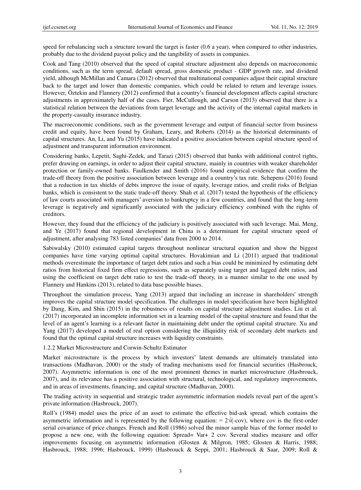speed for rebalancing such a structure toward the target is faster (0.6 a year), when compared to other industries, probably due to the dividend payout policy and the tangibility of assets in companies.

Cook and Tang (2010) observed that the speed of capital structure adjustment also depends on macroeconomic conditions, such as the term spread, default spread, gross domestic product - GDP growth rate, and dividend yield, although McMillan and Camara (2012) observed that multinational companies adjust their capital structure back to the target and lower than domestic companies, which could be related to return and leverage issues. However, Öztekin and Flannery (2012) confirmed that a country's financial development affects capital structure adjustments in approximately half of the cases. Fier, McCullough, and Carson (2013) observed that there is a statistical relation between the deviations from target leverage and the activity of the internal capital markets in the property-casualty insurance industry.

The macroeconomic conditions, such as the government leverage and output of financial sector from business credit and equity, have been found by Graham, Leary, and Roberts (2014) as the historical determinants of capital structures. An, Li, and Yu (2015) have indicated a positive association between capital structure speed of adjustment and transparent information environment.

Considering banks, Lepetit, Saghi-Zedek, and Tarazi (2015) observed that banks with additional control rights, prefer drawing on earnings, in order to adjust their capital structure, mainly in countries with weaker shareholder protection or family-owned banks. Faulkender and Smith (2016) found empirical evidence that confirm the trade-off theory from the positive association between leverage and a country's tax rate. Schepens (2016) found that a reduction in tax shields of debts improve the issue of equity, leverage ratios, and credit risks of Belgian banks, which is consistent to the static trade-off theory. Shah et al. (2017) tested the hypothesis of the efficiency of law courts associated with managers' aversion to bankruptcy in a few countries, and found that the long-term leverage is negatively and significantly associated with the judiciary efficiency combined with the rights of creditors.

However, they found that the efficiency of the judiciary is positively associated with such leverage. Mai, Meng, and Ye (2017) found that regional development in China is a determinant for capital structure speed of adjustment, after analysing 783 listed companies' data from 2000 to 2014.

Sabiwalsky (2010) estimated capital targets throughout nonlinear structural equation and show the biggest companies have time varying optimal capital structures. Hovakimian and Li (2011) argued that traditional methods overestimate the importance of target debt ratios and such a bias could be minimized by estimating debt ratios from historical fixed firm effect regressions, such as separately using target and lagged debt ratios, and using the coefficient on target debt ratio to test the trade-off theory, in a manner similar to the one used by Flannery and Hankins (2013), related to data base possible biases.

Throughout the simulation process, Yang (2013) argued that including an increase in shareholders' strength improves the capital structure model specification. The challenges in model specification have been highlighted by Dang, Kim, and Shin (2015) in the robustness of results on capital structure adjustment studies. Liu et al. (2017) incorporated an incomplete information set in a learning model of the capital structure and found that the level of an agent's learning is a relevant factor in maintaining debt under the optimal capital structure. Xu and Yang (2017) developed a model of real option considering the illiquidity risk of secondary debt markets and found that the optimal capital structure increases with liquidity constraints.

1.2.2 Market Microstructure and Corwin-Schultz Estimator

Market microstructure is the process by which investors' latent demands are ultimately translated into transactions (Madhavan, 2000) or the study of trading mechanisms used for financial securities (Hasbrouck, 2007). Asymmetric information is one of the most prominent themes in market microstructure (Hasbrouck, 2007), and its relevance has a positive association with structural, technological, and regulatory improvements, and in areas of investments, financing, and capital structure (Madhavan, 2000).

The trading activity in sequential and strategic trader asymmetric information models reveal part of the agent's private information (Hasbrouck, 2007).

Roll's (1984) model uses the price of an asset to estimate the effective bid-ask spread, which contains the asymmetric information and is represented by the following equation: =  $2\sqrt{(-\text{cov})}$ , where cov is the first-order serial covariance of price changes. French and Roll (1986) solved the minor sample bias of the former model to propose a new one, with the following equation: Spread= Var+ 2 cov. Several studies measure and offer improvements focusing on asymmetric information (Glosten & Milgron, 1985; Glosten & Harris, 1988; Hasbrouck, 1988; 1996; Hasbrouck, 1999) (Hasbrouck & Seppi, 2001; Hasbrouck & Saar, 2009; Roll &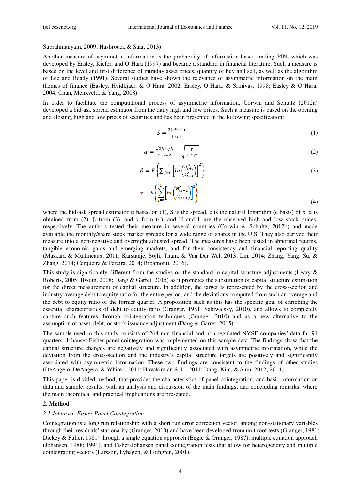Subrahmanyam, 2009; Hasbrouck & Saar, 2013).

Another measure of asymmetric information is the probability of information-based trading–PIN, which was developed by Easley, Kiefer, and O´Hara (1997) and became a standard in financial literature. Such a measure is based on the level and first difference of intraday asset prices, quantity of buy and sell, as well as the algorithm of Lee and Ready (1991). Several studies have shown the relevance of asymmetric information on the main themes of finance (Easley, Hvidkjaer, & O´Hara, 2002; Easley, O´Hara, & Srinivas, 1998; Easley & O´Hara, 2004; Chan, Menkveld, & Yang, 2008).

In order to facilitate the computational process of asymmetric information, Corwin and Schultz (2012a) developed a bid-ask spread estimator from the daily high and low prices. Such a measure is based on the opening and closing, high and low prices of securities and has been presented in the following specification:

$$
S = \frac{2(e^{\alpha} - 1)}{1 + e^{\alpha}} \tag{1}
$$

$$
\alpha = \frac{\sqrt{2\beta} - \sqrt{\beta}}{3 - 2\sqrt{2}} - \sqrt{\frac{\gamma}{3 - 2\sqrt{2}}}
$$
\n(2)

$$
\beta = E \left\{ \sum_{j=0}^{1} \left[ \ln \left( \frac{H_{t+j}^{0}}{L_{t+j}^{0}} \right) \right]^{2} \right\}
$$
\n(3)

$$
\gamma = E\left\{\sum_{j=0}^{1} \left[ \ln \left( \frac{H_{t,t+1}^{0}}{L_{t,t+1}^{0}} \right) \right]^{2} \right\}
$$
\n
$$
(4)
$$

where the bid-ask spread estimator is based on (1), S is the spread, e is the natural logarithm (e basis) of x,  $\alpha$  is obtained from (2), β from (3), and γ from (4), and H and L are the observed high and low stock prices, respectively. The authors tested their measure in several countries (Corwin & Schultz, 2012b) and made available the monthly/share stock market spreads for a wide range of shares in the U.S. They also derived their measure into a non-negative and overnight adjusted spread. The measures have been tested in abnormal returns, tangible economic gains and emerging markets, and for their consistency and financial reporting quality (Maskara & Mullineaux, 2011; Karstanje, Sojli, Tham, & Van Der Wel, 2013; Lin, 2014; Zhang, Yang, Su, & Zhang, 2014; Cerqueira & Pereira, 2014; Ripamonti, 2016).

This study is significantly different from the studies on the standard in capital structure adjustments (Leary & Roberts, 2005; Byoun, 2008; Dang & Garret, 2015) as it promotes the substitution of capital structure estimation for the direct measurement of capital structure. In addition, the target is represented by the cross-section and industry average debt to equity ratio for the entire period, and the deviations computed from such an average and the debt to equity ratio of the former quarter. A proposition such as this has the specific goal of enriching the essential characteristics of debt to equity ratio (Granger, 1981; Sabiwalsky, 2010), and allows to completely capture such features through cointegration techniques (Granger, 2010) and as a new alternative to the assumption of asset, debt, or stock issuance adjustment (Dang & Garret, 2015).

The sample used in this study consists of 264 non-financial and non-regulated NYSE companies' data for 91 quarters. Johanser-Fisher panel cointegration was implemented on this sample data. The findings show that the capital structure changes are negatively and significantly associated with asymmetric information, while the deviation from the cross-section and the industry's capital structure targets are positively and significantly associated with asymmetric information. These two findings are consistent to the findings of other studies (DeAngelo, DeAngelo, & Whited, 2011; Hovakimian & Li, 2011; Dang, Kim, & Shin, 2012; 2014).

This paper is divided method, that provides the characteristics of panel cointegration, and basic information on data and sample; results, with an analysis and discussion of the main findings; and concluding remarks, where the main theoretical and practical implications are presented.

#### **2. Method**

#### *2.1 Johansen-Fisher Panel Cointegration*

Cointegration is a long run relationship with a short run error correction vector, among non-stationary variables through their residuals' stationarity (Granger, 2010) and have been developed from unit root tests (Granger, 1981; Dickey & Fuller, 1981) through a single equation approach (Engle & Granger, 1987), multiple equation approach (Johansen, 1988; 1991), and Fisher-Johansen panel cointegration tests that allow for heterogeneity and multiple cointegrating vectors (Larsson, Lyhagen, & Lothgren, 2001).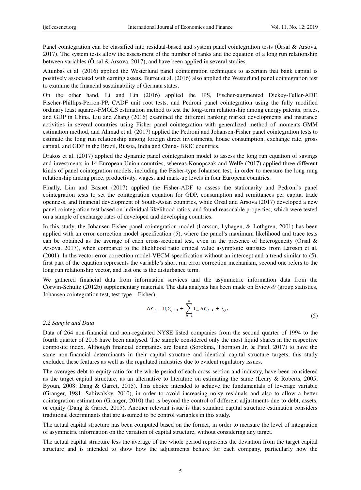Panel cointegration can be classified into residual-based and system panel cointegration tests (Örsal & Arsova, 2017). The system tests allow the assessment of the number of ranks and the equation of a long run relationship between variables (Örsal & Arsova, 2017), and have been applied in several studies.

Altunbas et al. (2016) applied the Westerlund panel cointegration techniques to ascertain that bank capital is positively associated with earning assets. Burret et al. (2016) also applied the Westerlund panel cointegration test to examine the financial sustainability of German states.

On the other hand, Li and Lin (2016) applied the IPS, Fischer-augmented Dickey-Fuller-ADF, Fischer-Phillips-Perron-PP, CADF unit root tests, and Pedroni panel cointegration using the fully modified ordinary least squares-FMOLS estimation method to test the long-term relationship among energy patents, prices, and GDP in China. Liu and Zhang (2016) examined the different banking market developments and insurance activities in several countries using Fisher panel cointegration with generalized method of moments-GMM estimation method, and Ahmad et al. (2017) applied the Pedroni and Johansen-Fisher panel cointegration tests to estimate the long run relationship among foreign direct investments, house consumption, exchange rate, gross capital, and GDP in the Brazil, Russia, India and China- BRIC countries.

Drakos et al. (2017) applied the dynamic panel cointegration model to assess the long run equation of savings and investments in 14 European Union countries, whereas Konopczak and Welfe (2017) applied three different kinds of panel cointegration models, including the Fisher-type Johansen test, in order to measure the long rung relationship among price, productivity, wages, and mark-up levels in four European countries.

Finally, Lim and Basnet (2017) applied the Fisher-ADF to assess the stationarity and Pedroni's panel cointegration tests to set the cointegration equation for GDP, consumption and remittances per capita, trade openness, and financial development of South-Asian countries, while Örsal and Arsova (2017) developed a new panel cointegration test based on individual likelihood ratios, and found reasonable properties, which were tested on a sample of exchange rates of developed and developing countries.

In this study, the Johansen-Fisher panel cointegration model (Larsson, Lyhagen, & Lothgren, 2001) has been applied with an error correction model specification (5), where the panel's maximum likelihood and trace tests can be obtained as the average of each cross-sectional test, even in the presence of heterogeneity (Örsal & Arsova, 2017), when compared to the likelihood ratio critical value asymptotic statistics from Larsson et al. (2001). In the vector error correction model-VECM specification without an intercept and a trend similar to (5), first part of the equation represents the variable's short run error correction mechanism, second one refers to the long run relationship vector, and last one is the disturbance term.

We gathered financial data from information services and the asymmetric information data from the Corwin-Schultz (2012b) supplementary materials. The data analysis has been made on Eviews9 (group statistics, Johansen cointegration test, test type – Fisher).

$$
\Delta Y_{i,t} = \Pi_i Y_{i,t-1} + \sum_{k=1}^{n} \Gamma_{ik} \Delta Y_{i,t-k} + v_{i,t},
$$
\n(5)

#### *2.2 Sample and Data*

Data of 264 non-financial and non-regulated NYSE listed companies from the second quarter of 1994 to the fourth quarter of 2016 have been analysed. The sample considered only the most liquid shares in the respective composite index. Although financial companies are found (Sorokina, Thornton Jr, & Patel, 2017) to have the same non-financial determinants in their capital structure and identical capital structure targets, this study excluded these features as well as the regulated industries due to evident regulatory issues.

The averages debt to equity ratio for the whole period of each cross-section and industry, have been considered as the target capital structure, as an alternative to literature on estimating the same (Leary & Roberts, 2005; Byoun, 2008; Dang & Garret, 2015). This choice intended to achieve the fundamentals of leverage variable (Granger, 1981; Sabiwalsky, 2010), in order to avoid increasing noisy residuals and also to allow a better cointegration estimation (Granger, 2010) that is beyond the control of different adjustments due to debt, assets, or equity (Dang & Garret, 2015). Another relevant issue is that standard capital structure estimation considers traditional determinants that are assumed to be control variables in this study.

The actual capital structure has been computed based on the former, in order to measure the level of integration of asymmetric information on the variation of capital structure, without considering any target.

The actual capital structure less the average of the whole period represents the deviation from the target capital structure and is intended to show how the adjustments behave for each company, particularly how the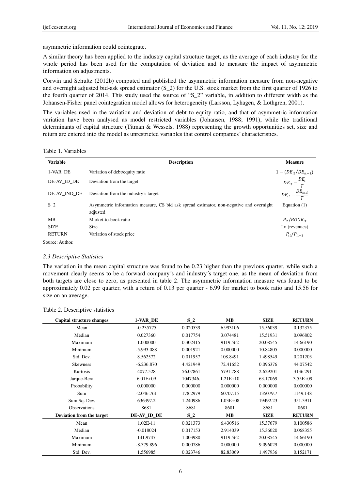asymmetric information could cointegrate.

A similar theory has been applied to the industry capital structure target, as the average of each industry for the whole period has been used for the computation of deviation and to measure the impact of asymmetric information on adjustments.

Corwin and Schultz (2012b) computed and published the asymmetric information measure from non-negative and overnight adjusted bid-ask spread estimator (S\_2) for the U.S. stock market from the first quarter of 1926 to the fourth quarter of 2014. This study used the source of " $S_2$ " variable, in addition to different width as the Johansen-Fisher panel cointegration model allows for heterogeneity (Larsson, Lyhagen, & Lothgren, 2001).

The variables used in the variation and deviation of debt to equity ratio, and that of asymmetric information variation have been analysed as model restricted variables (Johansen, 1988; 1991), while the traditional determinants of capital structure (Titman & Wessels, 1988) representing the growth opportunities set, size and return are entered into the model as unrestricted variables that control companies' characteristics.

Table 1. Variables

| <b>Variable</b> | <b>Description</b>                                                                                  | <b>Measure</b>                 |
|-----------------|-----------------------------------------------------------------------------------------------------|--------------------------------|
| 1-VAR DE        | Variation of debt/equity ratio                                                                      | $1 - (DE_{it}/DE_{it-1})$      |
| DE-AV_ID_DE     | Deviation from the target                                                                           | $DE_{it} - \frac{DE_i}{T}$     |
| DE-AV IND DE    | Deviation from the industry's target                                                                | $DE_{it} - \frac{DE_{ind}}{T}$ |
| S <sub>2</sub>  | Asymmetric information measure, CS bid ask spread estimator, non-negative and overnight<br>adjusted | Equation $(1)$                 |
| MB              | Market-to-book ratio                                                                                | $P_{it}/BOOK_{it}$             |
| <b>SIZE</b>     | Size                                                                                                | Ln (revenues)                  |
| <b>RETURN</b>   | Variation of stock price                                                                            | $P_{it}/P_{it-1}$              |

Source: Author.

#### *2.3 Descriptive Statistics*

The variation in the mean capital structure was found to be 0.23 higher than the previous quarter, while such a movement clearly seems to be a forward company´s and industry´s target one, as the mean of deviation from both targets are close to zero, as presented in table 2. The asymmetric information measure was found to be approximately 0.02 per quarter, with a return of 0.13 per quarter - 6.99 for market to book ratio and 15.56 for size on an average.

| Capital structure changes | 1-VAR_DE     | $S_2$    | <b>MB</b>    | <b>SIZE</b> | <b>RETURN</b> |
|---------------------------|--------------|----------|--------------|-------------|---------------|
| Mean                      | $-0.235775$  | 0.020539 | 6.993106     | 15.56039    | 0.132375      |
| Median                    | 0.027360     | 0.017754 | 3.074481     | 15.51931    | 0.096802      |
| Maximum                   | 1.000000     | 0.302415 | 9119.562     | 20.08545    | 14.66190      |
| Minimum                   | $-5.993.088$ | 0.001921 | 0.000000     | 10.84805    | 0.000000      |
| Std. Dev.                 | 8.562572     | 0.011957 | 108.8491     | 1.498549    | 0.201203      |
| <b>Skewness</b>           | $-6.236.870$ | 4.421949 | 72.41652     | 0.096376    | 44.07542      |
| Kurtosis                  | 4077.528     | 56.07861 | 5791.788     | 2.629201    | 3136.291      |
| Jarque-Bera               | $6.01E + 09$ | 1047346. | $1.21E+10$   | 63.17069    | 3.55E+09      |
| Probability               | 0.000000     | 0.000000 | 0.000000     | 0.000000    | 0.000000      |
| Sum                       | $-2.046.761$ | 178.2979 | 60707.15     | 135079.7    | 1149.148      |
| Sum Sq. Dev.              | 636397.2     | 1.240986 | $1.03E + 08$ | 19492.23    | 351.3911      |
| Observations              | 8681         | 8681     | 8681         | 8681        | 8681          |
| Deviation from the target | DE-AV_ID_DE  | $S_2$    | <b>MB</b>    | <b>SIZE</b> | <b>RETURN</b> |
| Mean                      | 1.02E-11     | 0.021373 | 6.430516     | 15.37679    | 0.100586      |
| Median                    | $-0.018024$  | 0.017153 | 2.914039     | 15.36020    | 0.068355      |
| Maximum                   | 141.9747     | 1.003980 | 9119.562     | 20.08545    | 14.66190      |
| Minimum                   | $-8.379.896$ | 0.000786 | 0.000000     | 9.096029    | 0.000000      |
| Std. Dev.                 | 1.556985     | 0.023746 | 82.83069     | 1.497936    | 0.152171      |

#### Table 2. Descriptive statistics

6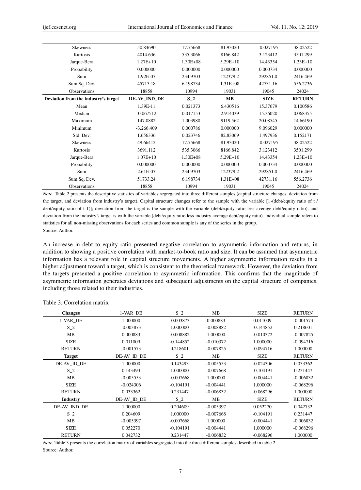| <b>Skewness</b>                      | 50.84690     | 17.75668     | 81.93020     | $-0.027195$ | 38.02522      |
|--------------------------------------|--------------|--------------|--------------|-------------|---------------|
| Kurtosis                             | 4014.636     | 535.3066     | 8166.842     | 3.123412    | 3501.299      |
| Jarque-Bera                          | $1.27E+10$   | $1.30E + 08$ | $5.29E+10$   | 14.43354    | $1.23E+10$    |
| Probability                          | 0.000000     | 0.000000     | 0.000000     | 0.000734    | 0.000000      |
| Sum                                  | 1.92E-07     | 234.9703     | 122379.2     | 292851.0    | 2416.469      |
| Sum Sq. Dev.                         | 45713.18     | 6.198734     | $1.31E + 08$ | 42731.16    | 556.2736      |
| Observations                         | 18858        | 10994        | 19031        | 19045       | 24024         |
| Deviation from the industry's target | DE-AV_IND_DE | $S_2$        | <b>MB</b>    | <b>SIZE</b> | <b>RETURN</b> |
| Mean                                 | 1.39E-11     | 0.021373     | 6.430516     | 15.37679    | 0.100586      |
| Median                               | $-0.067512$  | 0.017153     | 2.914039     | 15.36020    | 0.068355      |
| Maximum                              | 147.0882     | 1.003980     | 9119.562     | 20.08545    | 14.66190      |
| Minimum                              | $-3.266.409$ | 0.000786     | 0.000000     | 9.096029    | 0.000000      |
| Std. Dev.                            | 1.656336     | 0.023746     | 82.83069     | 1.497936    | 0.152171      |
| <b>Skewness</b>                      | 49.66412     | 17.75668     | 81.93020     | $-0.027195$ | 38.02522      |
| Kurtosis                             | 3691.112     | 535.3066     | 8166.842     | 3.123412    | 3501.299      |
| Jarque-Bera                          | $1.07E + 10$ | $1.30E + 08$ | $5.29E+10$   | 14.43354    | $1.23E+10$    |
| Probability                          | 0.000000     | 0.000000     | 0.000000     | 0.000734    | 0.000000      |
| Sum                                  | 2.61E-07     | 234.9703     | 122379.2     | 292851.0    | 2416.469      |
| Sum Sq. Dev.                         | 51733.24     | 6.198734     | $1.31E + 08$ | 42731.16    | 556.2736      |
| Observations                         | 18858        | 10994        | 19031        | 19045       | 24024         |

*Note*. Table 2 presents the descriptive statistics of variables segregated into three different samples (capital structure changes, deviation from the target, and deviation from industry's target). Capital structure changes refer to the sample with the variable [1-(debt/equity ratio of t / debt/equity ratio of t-1)]; deviation from the target is the sample with the variable (debt/equity ratio less average debt/equity ratio); and deviation from the industry's target is with the variable (debt/equity ratio less industry average debt/equity ratio). Individual sample refers to statistics for all non-missing observations for each series and common sample is any of the series in the group. Source: Author.

An increase in debt to equity ratio presented negative correlation to asymmetric information and returns, in addition to showing a positive correlation with market-to-book ratio and size. It can be assumed that asymmetric information has a relevant role in capital structure movements. A higher asymmetric information results in a higher adjustment toward a target, which is consistent to the theoretical framework. However, the deviation from the targets presented a positive correlation to asymmetric information. This confirms that the magnitude of asymmetric information generates deviations and subsequent adjustments on the capital structure of companies, including those related to their industries.

| <b>Changes</b> | 1-VAR_DE    | $S_2$       | MB          | <b>SIZE</b> | <b>RETURN</b> |
|----------------|-------------|-------------|-------------|-------------|---------------|
| 1-VAR DE       | 1.000000    | $-0.003873$ | 0.000883    | 0.011009    | $-0.001573$   |
| $S_2$          | $-0.003873$ | 1.000000    | $-0.008882$ | $-0.144852$ | 0.218601      |
| MB             | 0.000883    | $-0.008882$ | 1.000000    | $-0.010372$ | $-0.007825$   |
| <b>SIZE</b>    | 0.011009    | $-0.144852$ | $-0.010372$ | 1.000000    | $-0.094716$   |
| <b>RETURN</b>  | $-0.001573$ | 0.218601    | $-0.007825$ | $-0.094716$ | 1.000000      |
| <b>Target</b>  | DE-AV ID DE | $S_2$       | MB          | <b>SIZE</b> | <b>RETURN</b> |
| DE-AV_ID_DE    | 1.000000    | 0.143493    | $-0.005553$ | $-0.024306$ | 0.033362      |
| $S_2$          | 0.143493    | 1.000000    | $-0.007668$ | $-0.104191$ | 0.231447      |
| MB             | $-0.005553$ | $-0.007668$ | 1.000000    | $-0.004441$ | $-0.006832$   |
| <b>SIZE</b>    | $-0.024306$ | $-0.104191$ | $-0.004441$ | 1.000000    | $-0.068296$   |
| <b>RETURN</b>  | 0.033362    | 0.231447    | $-0.006832$ | $-0.068296$ | 1.000000      |
| Industry       | DE-AV_ID_DE | $S_2$       | MB          | <b>SIZE</b> | <b>RETURN</b> |
| DE-AV_IND_DE   | 1.000000    | 0.204609    | $-0.005397$ | 0.052270    | 0.042732      |
| $S_2$          | 0.204609    | 1.000000    | $-0.007668$ | $-0.104191$ | 0.231447      |
| MB             | $-0.005397$ | $-0.007668$ | 1.000000    | $-0.004441$ | $-0.006832$   |
| <b>SIZE</b>    | 0.052270    | $-0.104191$ | $-0.004441$ | 1.000000    | $-0.068296$   |
| <b>RETURN</b>  | 0.042732    | 0.231447    | $-0.006832$ | $-0.068296$ | 1.000000      |

# Table 3. Correlation matrix

*Note*. Table 3 presents the correlation matrix of variables segregated into the three different samples described in table 2. Source: Author.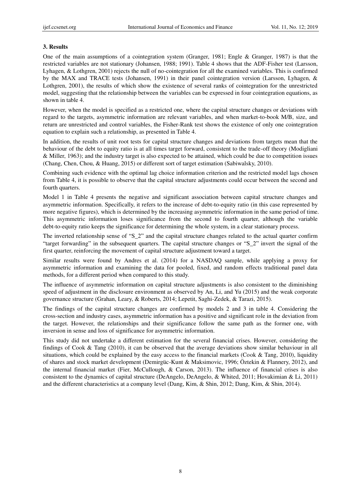### **3. Results**

One of the main assumptions of a cointegration system (Granger, 1981; Engle & Granger, 1987) is that the restricted variables are not stationary (Johansen, 1988; 1991). Table 4 shows that the ADF-Fisher test (Larsson, Lyhagen, & Lothgren, 2001) rejects the null of no-cointegration for all the examined variables. This is confirmed by the MAX and TRACE tests (Johansen, 1991) in their panel cointegration version (Larsson, Lyhagen, & Lothgren, 2001), the results of which show the existence of several ranks of cointegration for the unrestricted model, suggesting that the relationship between the variables can be expressed in four cointegration equations, as shown in table 4.

However, when the model is specified as a restricted one, where the capital structure changes or deviations with regard to the targets, asymmetric information are relevant variables, and when market-to-book M/B, size, and return are unrestricted and control variables, the Fisher-Rank test shows the existence of only one cointegration equation to explain such a relationship, as presented in Table 4.

In addition, the results of unit root tests for capital structure changes and deviations from targets mean that the behaviour of the debt to equity ratio is at all times target forward, consistent to the trade-off theory (Modigliani & Miller, 1963); and the industry target is also expected to be attained, which could be due to competition issues (Chang, Chen, Chou, & Huang, 2015) or different sort of target estimation (Sabiwalsky, 2010).

Combining such evidence with the optimal lag choice information criterion and the restricted model lags chosen from Table 4, it is possible to observe that the capital structure adjustments could occur between the second and fourth quarters.

Model 1 in Table 4 presents the negative and significant association between capital structure changes and asymmetric information. Specifically, it refers to the increase of debt-to-equity ratio (in this case represented by more negative figures), which is determined by the increasing asymmetric information in the same period of time. This asymmetric information loses significance from the second to fourth quarter, although the variable debt-to-equity ratio keeps the significance for determining the whole system, in a clear stationary process.

The inverted relationship sense of "S\_2" and the capital structure changes related to the actual quarter confirm "target forwarding" in the subsequent quarters. The capital structure changes or "S  $2$ " invert the signal of the first quarter, reinforcing the movement of capital structure adjustment toward a target.

Similar results were found by Andres et al. (2014) for a NASDAQ sample, while applying a proxy for asymmetric information and examining the data for pooled, fixed, and random effects traditional panel data methods, for a different period when compared to this study.

The influence of asymmetric information on capital structure adjustments is also consistent to the diminishing speed of adjustment in the disclosure environment as observed by An, Li, and Yu (2015) and the weak corporate governance structure (Grahan, Leary, & Roberts, 2014; Lepetit, Saghi-Zedek, & Tarazi, 2015).

The findings of the capital structure changes are confirmed by models 2 and 3 in table 4. Considering the cross-section and industry cases, asymmetric information has a positive and significant role in the deviation from the target. However, the relationships and their significance follow the same path as the former one, with inversion in sense and loss of significance for asymmetric information.

This study did not undertake a different estimation for the several financial crises. However, considering the findings of Cook & Tang (2010), it can be observed that the average deviations show similar behaviour in all situations, which could be explained by the easy access to the financial markets (Cook & Tang, 2010), liquidity of shares and stock market development (Demirgüc-Kunt & Maksimovic, 1996; Öztekin & Flannery, 2012), and the internal financial market (Fier, McCullough, & Carson, 2013). The influence of financial crises is also consistent to the dynamics of capital structure (DeAngelo, DeAngelo, & Whited, 2011; Hovakimian & Li, 2011) and the different characteristics at a company level (Dang, Kim, & Shin, 2012; Dang, Kim, & Shin, 2014).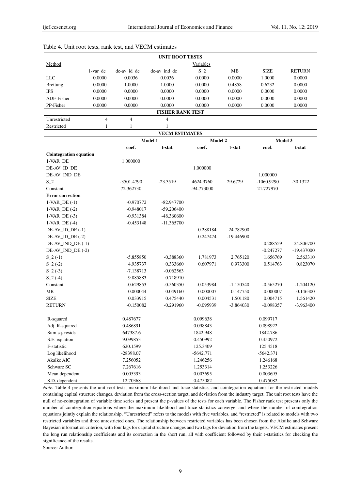| <b>UNIT ROOT TESTS</b>  |          |             |              |           |        |             |               |
|-------------------------|----------|-------------|--------------|-----------|--------|-------------|---------------|
| Method                  |          |             |              | Variables |        |             |               |
|                         | 1-var de | de-av_id_de | de-av ind de | $S_2$     | MВ     | <b>SIZE</b> | <b>RETURN</b> |
| LLC                     | 0.0000   | 0.0036      | 0.0036       | 0.0000    | 0.0000 | 1.0000      | 0.0000        |
| <b>Breitung</b>         | 0.0000   | 1.0000      | 1.0000       | 0.0000    | 0.4858 | 0.6232      | 0.0000        |
| <b>IPS</b>              | 0.0000   | 0.0000      | 0.0000       | 0.0000    | 0.0000 | 0.0000      | 0.0000        |
| ADF-Fisher              | 0.0000   | 0.0000      | 0.0000       | 0.0000    | 0.0000 | 0.0000      | 0.0000        |
| PP-Fisher               | 0.0000   | 0.0000      | 0.0000       | 0.0000    | 0.0000 | 0.0000      | 0.0000        |
| <b>FISHER RANK TEST</b> |          |             |              |           |        |             |               |
| Unrestricted            | 4        | 4           | 4            |           |        |             |               |
|                         |          |             |              |           |        |             |               |

#### Table 4. Unit root tests, rank test, and VECM estimates

| Restricted                   | 1<br>1      | 1                     |             |             |              |              |  |
|------------------------------|-------------|-----------------------|-------------|-------------|--------------|--------------|--|
|                              |             | <b>VECM ESTIMATES</b> |             |             |              |              |  |
|                              |             | Model 1               |             | Model 2     |              | Model 3      |  |
|                              | coef.       | t-stat                | coef.       | t-stat      | coef.        | t-stat       |  |
| Cointegration equation       |             |                       |             |             |              |              |  |
| 1-VAR_DE                     | 1.000000    |                       |             |             |              |              |  |
| DE-AV_ID_DE                  |             |                       | 1.000000    |             |              |              |  |
| DE-AV_IND_DE                 |             |                       |             |             | 1.000000     |              |  |
| $S_2$                        | -3501.4790  | $-23.3519$            | 4624.9760   | 29.6729     | $-1060.9290$ | $-30.1322$   |  |
| Constant                     | 72.362730   |                       | -94.773000  |             | 21.727970    |              |  |
| <b>Error correction</b>      |             |                       |             |             |              |              |  |
| $1-VAR$ <sub>DE</sub> $(-1)$ | $-0.970772$ | $-82.947700$          |             |             |              |              |  |
| $1-VAR_DE(-2)$               | $-0.948017$ | -59.206400            |             |             |              |              |  |
| $1-VAR$ DE $(-3)$            | $-0.931384$ | -48.360600            |             |             |              |              |  |
| $1-VAR$ DE $(-4)$            | $-0.453148$ | $-11.365700$          |             |             |              |              |  |
| $DE-AV\_ID\_DE(-1)$          |             |                       | 0.288184    | 24.782900   |              |              |  |
| $DE-AV$ ID DE $(-2)$         |             |                       | $-0.247474$ | -19.446900  |              |              |  |
| DE-AV_IND_DE (-1)            |             |                       |             |             | 0.288559     | 24.806700    |  |
| DE-AV_IND_DE (-2)            |             |                       |             |             | $-0.247277$  | $-19.437000$ |  |
| $S_2(-1)$                    | $-5.855850$ | $-0.388360$           | 1.781973    | 2.765120    | 1.656769     | 2.563310     |  |
| $S_2(-2)$                    | 4.935737    | 0.333660              | 0.607971    | 0.973300    | 0.514763     | 0.823070     |  |
| $S_2(-3)$                    | $-7.138713$ | $-0.062563$           |             |             |              |              |  |
| $S_2(4)$                     | 9.885883    | 0.718910              |             |             |              |              |  |
| Constant                     | $-0.629853$ | $-0.560350$           | $-0.053984$ | $-1.150540$ | $-0.565270$  | $-1.204120$  |  |
| MB                           | 0.000044    | 0.049160              | $-0.000007$ | $-0.147750$ | $-0.000007$  | $-0.146300$  |  |
| <b>SIZE</b>                  | 0.033915    | 0.475440              | 0.004531    | 1.501180    | 0.004715     | 1.561420     |  |
| <b>RETURN</b>                | $-0.150082$ | $-0.291960$           | $-0.095939$ | $-3.864030$ | $-0.098357$  | $-3.963400$  |  |
| R-squared                    | 0.487677    |                       | 0.099638    |             | 0.099717     |              |  |
| Adj. R-squared               | 0.486891    |                       | 0.098843    |             | 0.098922     |              |  |
| Sum sq. resids               | 647387.6    |                       | 1842.948    |             | 1842.786     |              |  |
| S.E. equation                | 9.099853    |                       | 0.450992    |             | 0.450972     |              |  |
| F-statistic                  | 620.1599    |                       | 125.3409    |             | 125.4518     |              |  |
| Log likelihood               | -28398.07   |                       | $-5642.771$ |             | $-5642.371$  |              |  |
| Akaike AIC                   | 7.256052    |                       | 1.246256    |             | 1.246168     |              |  |
| Schwarz SC                   | 7.267616    |                       | 1.253314    |             | 1.253226     |              |  |
| Mean dependent               | 0.005393    |                       | 0.003695    |             | 0.003695     |              |  |
| S.D. dependent               | 12.70368    |                       | 0.475082    |             | 0.475082     |              |  |

*Note.* Table 4 presents the unit root tests, maximum likelihood and trace statistics, and cointegration equations for the restricted models containing capital structure changes, deviation from the cross-section target, and deviation from the industry target. The unit root tests have the null of no-cointegration of variable time series and present the p-values of the tests for each variable. The Fisher rank test presents only the number of cointegration equations where the maximum likelihood and trace statistics converge, and where the number of cointegration equations jointly explain the relationship. "Unrestricted" refers to the models with five variables, and "restricted" is related to models with two restricted variables and three unrestricted ones. The relationship between restricted variables has been chosen from the Akaike and Schwarz Bayesian information criterion, with four lags for capital structure changes and two lags for deviation from the targets. VECM estimates present the long run relationship coefficients and its correction in the short run, all with coefficient followed by their t-statistics for checking the significance of the results.

Source: Author.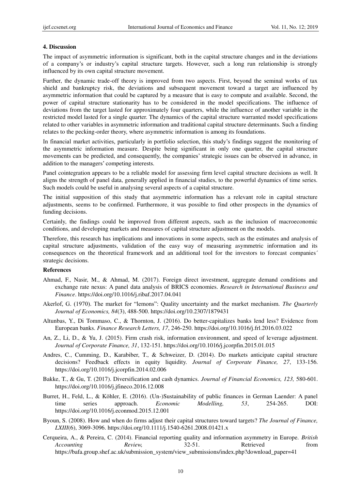#### **4. Discussion**

The impact of asymmetric information is significant, both in the capital structure changes and in the deviations of a company's or industry's capital structure targets. However, such a long run relationship is strongly influenced by its own capital structure movement.

Further, the dynamic trade-off theory is improved from two aspects. First, beyond the seminal works of tax shield and bankruptcy risk, the deviations and subsequent movement toward a target are influenced by asymmetric information that could be captured by a measure that is easy to compute and available. Second, the power of capital structure stationarity has to be considered in the model specifications. The influence of deviations from the target lasted for approximately four quarters, while the influence of another variable in the restricted model lasted for a single quarter. The dynamics of the capital structure warranted model specifications related to other variables in asymmetric information and traditional capital structure determinants. Such a finding relates to the pecking-order theory, where asymmetric information is among its foundations.

In financial market activities, particularly in portfolio selection, this study's findings suggest the monitoring of the asymmetric information measure. Despite being significant in only one quarter, the capital structure movements can be predicted, and consequently, the companies' strategic issues can be observed in advance, in addition to the managers' competing interests.

Panel cointegration appears to be a reliable model for assessing firm level capital structure decisions as well. It aligns the strength of panel data, generally applied in financial studies, to the powerful dynamics of time series. Such models could be useful in analysing several aspects of a capital structure.

The initial supposition of this study that asymmetric information has a relevant role in capital structure adjustments, seems to be confirmed. Furthermore, it was possible to find other prospects in the dynamics of funding decisions.

Certainly, the findings could be improved from different aspects, such as the inclusion of macroeconomic conditions, and developing markets and measures of capital structure adjustment on the models.

Therefore, this research has implications and innovations in some aspects, such as the estimates and analysis of capital structure adjustments, validation of the easy way of measuring asymmetric information and its consequences on the theoretical framework and an additional tool for the investors to forecast companies´ strategic decisions.

#### **References**

- Ahmad, F., Nasir, M., & Ahmad, M. (2017). Foreign direct investment, aggregate demand conditions and exchange rate nexus: A panel data analysis of BRICS economies. *Research in International Business and Finance*. https://doi.org/10.1016/j.ribaf.2017.04.041
- Akerlof, G. (1970). The market for "lemons": Quality uncertainty and the market mechanism. *The Quarterly Journal of Economics, 84*(3), 488-500. https://doi.org/10.2307/1879431
- Altunbas, Y., Di Tommaso, C., & Thornton, J. (2016). Do better-capitalizes banks lend less? Evidence from European banks. *Finance Research Letters, 17*, 246-250. https://doi.org/10.1016/j.frl.2016.03.022
- An, Z., Li, D., & Yu, J. (2015). Firm crash risk, information environment, and speed of leverage adjustment. *Journal of Corporate Finance, 31*, 132-151. https://doi.org/10.1016/j.jcorpfin.2015.01.015
- Andres, C., Cumming, D., Karabiber, T., & Schweizer, D. (2014). Do markets anticipate capital structure decisions? Feedback effects in equity liquidity. *Journal of Corporate Finance, 27*, 133-156. https://doi.org/10.1016/j.jcorpfin.2014.02.006
- Bakke, T., & Gu, T. (2017). Diversification and cash dynamics. *Journal of Financial Economics, 123,* 580-601. https://doi.org/10.1016/j.jfineco.2016.12.008
- Burret, H., Feld, L., & Köhler, E. (2016). (Un-)Sustainability of public finances in German Laender: A panel time series approach. *Economic Modelling, 53*, 254-265. DOI: https://doi.org/10.1016/j.econmod.2015.12.001
- Byoun, S. (2008). How and when do firms adjust their capital structures toward targets? *The Journal of Finance, LXIII*(6), 3069-3096. https://doi.org/10.1111/j.1540-6261.2008.01421.x
- Cerqueira, A., & Pereira, C. (2014). Financial reporting quality and information asymmetry in Europe. *British Accounting Review,* 32-51. Retrieved from https://bafa.group.shef.ac.uk/submission\_system/view\_submissions/index.php?download\_paper=41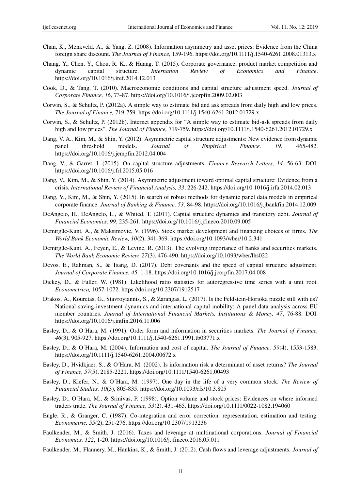- Chan, K., Menkveld, A., & Yang, Z. (2008). Information asymmetry and asset prices: Evidence from the China foreign share discount. *The Journal of Finance,* 159-196. https://doi.org/10.1111/j.1540-6261.2008.01313.x
- Chang, Y., Chen, Y., Chou, R. K., & Huang, T. (2015). Corporate governance, product market competition and dynamic capital structure. *Internation Review of Economics and Finance*. https://doi.org/10.1016/j.iref.2014.12.013
- Cook, D., & Tang, T. (2010). Macroeconomic conditions and capital structure adjustment speed. *Journal of Corporate Finance, 16*, 73-87. https://doi.org/10.1016/j.jcorpfin.2009.02.003
- Corwin, S., & Schultz, P. (2012a). A simple way to estimate bid and ask spreads from daily high and low prices. *The Journal of Finance,* 719-759. https://doi.org/10.1111/j.1540-6261.2012.01729.x
- Corwin, S., & Schultz, P. (2012b). Internet appendix for "A simple way to estimate bid-ask spreads from daily high and low prices". *The Journal of Finance*, 719-759. https://doi.org/10.1111/j.1540-6261.2012.01729.x
- Dang, V. A., Kim, M., & Shin, Y. (2012). Asymmetric capital structure adjustments: New evidence from dynamic panel threshold models. *Journal of Empirical Finance, 19*, 465-482. https://doi.org/10.1016/j.jempfin.2012.04.004
- Dang, V., & Garret, I. (2015). On capital structure adjustments. *Finance Research Letters, 14*, 56-63. DOI: https://doi.org/10.1016/j.frl.2015.05.016
- Dang, V., Kim, M., & Shin, Y. (2014). Asymmetric adjustment toward optimal capital structure: Evidence from a crisis. *International Review of Financial Analysis, 33*, 226-242. https://doi.org/10.1016/j.irfa.2014.02.013
- Dang, V., Kim, M., & Shin, Y. (2015). In search of robust methods for dynamic panel data models in empirical corporate finance. *Journal of Banking & Finance, 53*, 84-98. https://doi.org/10.1016/j.jbankfin.2014.12.009
- DeAngelo, H., DeAngelo, L., & Whited, T. (2011). Capital structure dynamics and transitory debt. *Journal of Financial Economics, 99*, 235-261. https://doi.org/10.1016/j.jfineco.2010.09.005
- Demirgüc-Kunt, A., & Maksimovic, V. (1996). Stock market development and financing choices of firms. *The World Bank Economic Review, 10*(2), 341-369. https://doi.org/10.1093/wber/10.2.341
- Demirgüc-Kunt, A., Feyen, E., & Levine, R. (2013). The evolving importance of banks and securities markets. *The World Bank Economic Review, 27*(3), 476-490. https://doi.org/10.1093/wber/lhs022
- Devos, E., Rahman, S., & Tsang, D. (2017). Debt covenants and the speed of capital structure adjustment. *Journal of Corporate Finance, 45,* 1-18. https://doi.org/10.1016/j.jcorpfin.2017.04.008
- Dickey, D., & Fuller, W. (1981). Likelihood ratio statistics for autoregressive time series with a unit root. *Econometrica,* 1057-1072. https://doi.org/10.2307/1912517
- Drakos, A., Kouretas, G., Stavroyiannis, S., & Zarangas, L. (2017). Is the Feldstein-Horioka puzzle still with us? National saving-investment dynamics and international capital mobility: A panel data analysis across EU member countries. *Journal of International Financial Markets, Institutions & Money, 47*, 76-88. DOI: https://doi.org/10.1016/j.intfin.2016.11.006
- Easley, D., & O´Hara, M. (1991). Order form and information in securities markets. *The Journal of Finance, 46*(3), 905-927. https://doi.org/10.1111/j.1540-6261.1991.tb03771.x
- Easley, D., & O´Hara, M. (2004). Information and cost of capital. *The Journal of Finance, 59*(4), 1553-1583. https://doi.org/10.1111/j.1540-6261.2004.00672.x
- Easley, D., Hvidkjaer, S., & O´Hara, M. (2002). Is information risk a determinant of asset returns? *The Journal of Finance, 57*(5), 2185-2221. https://doi.org/10.1111/1540-6261.00493
- Easley, D., Kiefer, N., & O´Hara, M. (1997). One day in the life of a very common stock. *The Review of Financial Studies, 10*(3), 805-835. https://doi.org/10.1093/rfs/10.3.805
- Easley, D., O´Hara, M., & Srinivas, P. (1998). Option volume and stock prices: Evidences on where informed traders trade. *The Journal of Finance, 53*(2), 431-465. https://doi.org/10.1111/0022-1082.194060
- Engle, R., & Granger, C. (1987). Co-integration and error correction: representation, estimation and testing. *Econometric, 55*(2), 251-276. https://doi.org/10.2307/1913236
- Faulkender, M., & Smith, J. (2016). Taxes and leverage at multinational corporations. *Journal of Financial Economics, 122*, 1-20. https://doi.org/10.1016/j.jfineco.2016.05.011
- Faulkender, M., Flannery, M., Hankins, K., & Smith, J. (2012). Cash flows and leverage adjustments. *Journal of*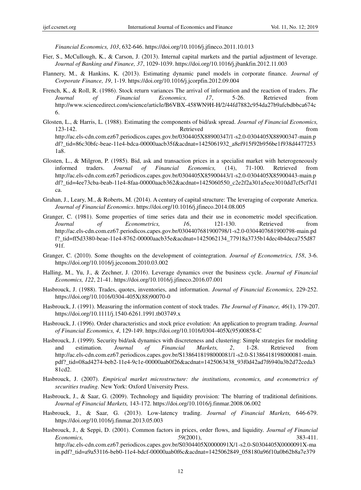*Financial Economics, 103*, 632-646. https://doi.org/10.1016/j.jfineco.2011.10.013

- Fier, S., McCullough, K., & Carson, J. (2013). Internal capital markets and the partial adjustment of leverage. *Journal of Banking and Finance, 37*, 1029-1039. https://doi.org/10.1016/j.jbankfin.2012.11.003
- Flannery, M., & Hankins, K. (2013). Estimating dynamic panel models in corporate finance. *Journal of Corporate Finance, 19*, 1-19. https://doi.org/10.1016/j.jcorpfin.2012.09.004
- French, K., & Roll, R. (1986). Stock return variances The arrival of information and the reaction of traders. *The Journal of Financial Economics, 17*, 5-26. Retrieved from http://www.sciencedirect.com/science/article/B6VBX-458WN9H-H/2/44fd7882c954da27b9afcbdbbca674c 6.
- Glosten, L., & Harris, L. (1988). Estimating the components of bid/ask spread. *Journal of Financial Economics,*  123-142. Retrieved from http://ac.els-cdn.com.ez67.periodicos.capes.gov.br/0304405X88900347/1-s2.0-0304405X88900347-main.p df?\_tid=86c30bfc-beae-11e4-bdca-00000aacb35f&acdnat=1425061932\_a8ef915f92b956be1f938d4477253 1a8.
- Glosten, L., & Milgron, P. (1985). Bid, ask and transaction prices in a specialist market with heterogeneously informed traders. *Journal of Financial Economics,* (14), 71-100. Retrieved from http://ac.els-cdn.com.ez67.periodicos.capes.gov.br/0304405X85900443/1-s2.0-0304405X85900443-main.p df?\_tid=4ee73cba-beab-11e4-8faa-00000aacb362&acdnat=1425060550\_c2e2f2a301a5ece3010dd7cf5cf7d1 ca.
- Grahan, J., Leary, M., & Roberts, M. (2014). A century of capital structure: The leveraging of corporate America. *Journal of Financial Economics*. https://doi.org/10.1016/j.jfineco.2014.08.005
- Granger, C. (1981). Some properties of time series data and their use in econometric model specification. *Journal of Econometrics, 16*, 121-130. Retrieved from http://ac.els-cdn.com.ez67.periodicos.capes.gov.br/0304407681900798/1-s2.0-0304407681900798-main.pd f?\_tid=ff5d3380-beae-11e4-8762-00000aacb35e&acdnat=1425062134\_77918a3735b14dec4b4deca755d87 91f.
- Granger, C. (2010). Some thoughts on the development of cointegration. *Journal of Econometrics, 158*, 3-6. https://doi.org/10.1016/j.jeconom.2010.03.002
- Halling, M., Yu, J., & Zechner, J. (2016). Leverage dynamics over the business cycle. *Journal of Financial Economics, 122*, 21-41. https://doi.org/10.1016/j.jfineco.2016.07.001
- Hasbrouck, J. (1988). Trades, quotes, inventories, and information. *Journal of Financial Economics,* 229-252. https://doi.org/10.1016/0304-405X(88)90070-0
- Hasbrouck, J. (1991). Measuring the information content of stock trades. *The Journal of Finance, 46*(1), 179-207. https://doi.org/10.1111/j.1540-6261.1991.tb03749.x
- Hasbrouck, J. (1996). Order characteristics and stock price evolution: An application to program trading. *Journal of Financial Economics, 4*, 129-149. https://doi.org/10.1016/0304-405X(95)00858-C
- Hasbrouck, J. (1999). Security bid/ask dynamics with discreteness and clustering: Simple strategies for modeling and estimation. *Journal of Financial Markets, 2*, 1-28. Retrieved from http://ac.els-cdn.com.ez67.periodicos.capes.gov.br/S1386418198000081/1-s2.0-S1386418198000081-main. pdf?\_tid=08ad4274-beb2-11e4-9c1e-00000aab0f26&acdnat=1425063438\_93f0d42ad7f6940a3b2d72ceda3 81cd2.
- Hasbrouck, J. (2007). *Empirical market microstructure: the institutions, economics, and econometrics of securities trading*. New York: Oxford University Press.
- Hasbrouck, J., & Saar, G. (2009). Technology and liquidity provision: The blurring of traditional definitions. *Journal of Financial Markets,* 143-172. https://doi.org/10.1016/j.finmar.2008.06.002
- Hasbrouck, J., & Saar, G. (2013). Low-latency trading. *Journal of Financial Markets,* 646-679. https://doi.org/10.1016/j.finmar.2013.05.003
- Hasbrouck, J., & Seppi, D. (2001). Common factors in prices, order flows, and liquidity. *Journal of Financial Economics, 59*(2001), 383-411. http://ac.els-cdn.com.ez67.periodicos.capes.gov.br/S0304405X0000091X/1-s2.0-S0304405X0000091X-ma in.pdf?\_tid=a9a53116-beb0-11e4-bdcf-00000aab0f6c&acdnat=1425062849\_058180a96f10a0b62b8a7e379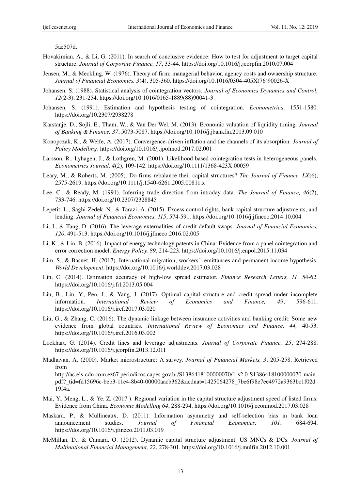5ae507d.

- Hovakimian, A., & Li, G. (2011). In search of conclusive evidence: How to test for adjustment to target capital structure. *Journal of Corporate Finance, 17*, 33-44. https://doi.org/10.1016/j.jcorpfin.2010.07.004
- Jensen, M., & Meckling, W. (1976). Theory of firm: managerial behavior, agency costs and ownership structure. *Journal of Financial Economics. 3*(4), 305-360. https://doi.org/10.1016/0304-405X(76)90026-X
- Johansen, S. (1988). Statistical analysis of cointegration vectors. *Journal of Economics Dynamics and Control. 12*(2-3), 231-254. https://doi.org/10.1016/0165-1889(88)90041-3
- Johansen, S. (1991). Estimation and hypothesis testing of cointegration. *Econometrica,* 1551-1580. https://doi.org/10.2307/2938278
- Karstanje, D., Sojli, E., Tham, W., & Van Der Wel, M. (2013). Economic valuation of liquidity timing. *Journal of Banking & Finance, 37*, 5073-5087. https://doi.org/10.1016/j.jbankfin.2013.09.010
- Konopczak, K., & Welfe, A. (2017). Convergence-driven inflation and the channels of its absorption. *Journal of Policy Modelling*. https://doi.org/10.1016/j.jpolmod.2017.02.001
- Larsson, R., Lyhagen, J., & Lothgren, M. (2001). Likelihood based cointegration tests in heterogeneous panels. *Econometrics Journal, 4*(2), 109-142. https://doi.org/10.1111/1368-423X.00059
- Leary, M., & Roberts, M. (2005). Do firms rebalance their capital structures? *The Journal of Finance, LX*(6), 2575-2619. https://doi.org/10.1111/j.1540-6261.2005.00811.x
- Lee, C., & Ready, M. (1991). Inferring trade direction from intraday data. *The Journal of Finance, 46*(2), 733-746. https://doi.org/10.2307/2328845
- Lepetit, L., Saghi-Zedek, N., & Tarazi, A. (2015). Excess control rights, bank capital structure adjustments, and lending. *Journal of Financial Economics, 115*, 574-591. https://doi.org/10.1016/j.jfineco.2014.10.004
- Li, J., & Tang, D. (2016). The leverage externalities of credit default swaps. *Journal of Financial Economics, 120*, 491-513. https://doi.org/10.1016/j.jfineco.2016.02.005
- Li, K., & Lin, B. (2016). Impact of energy technology patents in China: Evidence from a panel cointegration and error correction model. *Energy Policy, 89*, 214-223. https://doi.org/10.1016/j.enpol.2015.11.034
- Lim, S., & Basnet, H. (2017). International migration, workers´ remittances and permanent income hypothesis. *World Development*. https://doi.org/10.1016/j.worlddev.2017.03.028
- Lin, C. (2014). Estimation accuracy of high-low spread estimator. *Finance Research Letters, 11*, 54-62. https://doi.org/10.1016/j.frl.2013.05.004
- Liu, B., Liu, Y., Pen, J., & Yang, J. (2017). Optimal capital structure and credit spread under incomplete information. *International Review of Economics and Finance, 49*, 596-611. https://doi.org/10.1016/j.iref.2017.03.020
- Liu, G., & Zhang, C. (2016). The dynamic linkage between insurance activities and banking credit: Some new evidence from global countries. *International Review of Economics and Finance, 44,* 40-53. https://doi.org/10.1016/j.iref.2016.03.002
- Lockhart, G. (2014). Credit lines and leverage adjustments. *Journal of Corporate Finance, 25*, 274-288. https://doi.org/10.1016/j.jcorpfin.2013.12.011
- Madhavan, A. (2000). Market microstructure: A survey. *Journal of Financial Markets, 3*, 205-258. Retrieved from

http://ac.els-cdn.com.ez67.periodicos.capes.gov.br/S1386418100000070/1-s2.0-S1386418100000070-main. pdf?\_tid=fd15696c-beb3-11e4-8b40-00000aacb362&acdnat=1425064278\_7be6f98e7ee4972a9363bc1f02d 19f4a.

- Mai, Y., Meng, L., & Ye, Z. (2017). Regional variation in the capital structure adjustment speed of listed firms: Evidence from China. *Economic Modelling 64*, 288-294. https://doi.org/10.1016/j.econmod.2017.03.028
- Maskara, P., & Mullineaux, D. (2011). Information asymmetry and self-selection bias in bank loan announcement studies. *Journal of Financial Economics, 101*, 684-694. https://doi.org/10.1016/j.jfineco.2011.03.019
- McMillan, D., & Camara, O. (2012). Dynamic capital structure adjustment: US MNCs & DCs. *Journal of Multinational Financial Management, 22*, 278-301. https://doi.org/10.1016/j.mulfin.2012.10.001